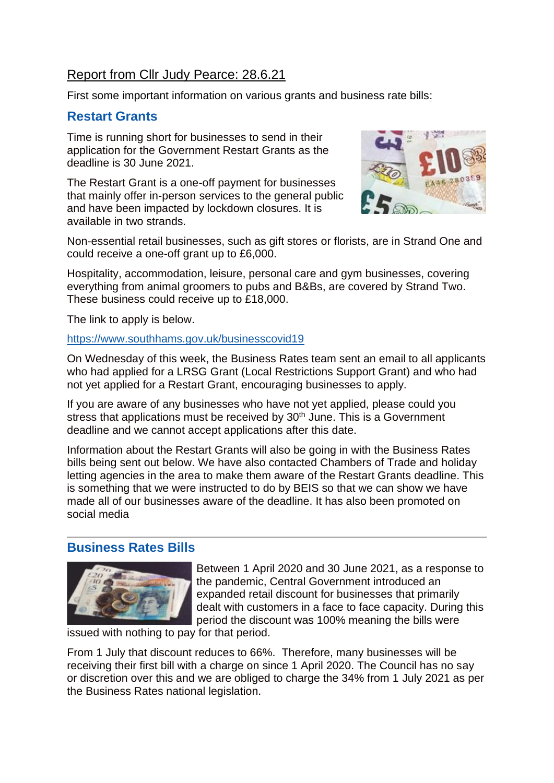# Report from Cllr Judy Pearce: 28.6.21

First some important information on various grants and business rate bills:

### **Restart Grants**

Time is running short for businesses to send in their application for the Government Restart Grants as the deadline is 30 June 2021.

The Restart Grant is a one-off payment for businesses that mainly offer in-person services to the general public and have been impacted by lockdown closures. It is available in two strands.



Non-essential retail businesses, such as gift stores or florists, are in Strand One and could receive a one-off grant up to £6,000.

Hospitality, accommodation, leisure, personal care and gym businesses, covering everything from animal groomers to pubs and B&Bs, are covered by Strand Two. These business could receive up to £18,000.

The link to apply is below.

#### <https://www.southhams.gov.uk/businesscovid19>

On Wednesday of this week, the Business Rates team sent an email to all applicants who had applied for a LRSG Grant (Local Restrictions Support Grant) and who had not yet applied for a Restart Grant, encouraging businesses to apply.

If you are aware of any businesses who have not yet applied, please could you stress that applications must be received by 30<sup>th</sup> June. This is a Government deadline and we cannot accept applications after this date.

Information about the Restart Grants will also be going in with the Business Rates bills being sent out below. We have also contacted Chambers of Trade and holiday letting agencies in the area to make them aware of the Restart Grants deadline. This is something that we were instructed to do by BEIS so that we can show we have made all of our businesses aware of the deadline. It has also been promoted on social media

### **Business Rates Bills**



Between 1 April 2020 and 30 June 2021, as a response to the pandemic, Central Government introduced an expanded retail discount for businesses that primarily dealt with customers in a face to face capacity. During this period the discount was 100% meaning the bills were

issued with nothing to pay for that period.

From 1 July that discount reduces to 66%. Therefore, many businesses will be receiving their first bill with a charge on since 1 April 2020. The Council has no say or discretion over this and we are obliged to charge the 34% from 1 July 2021 as per the Business Rates national legislation.